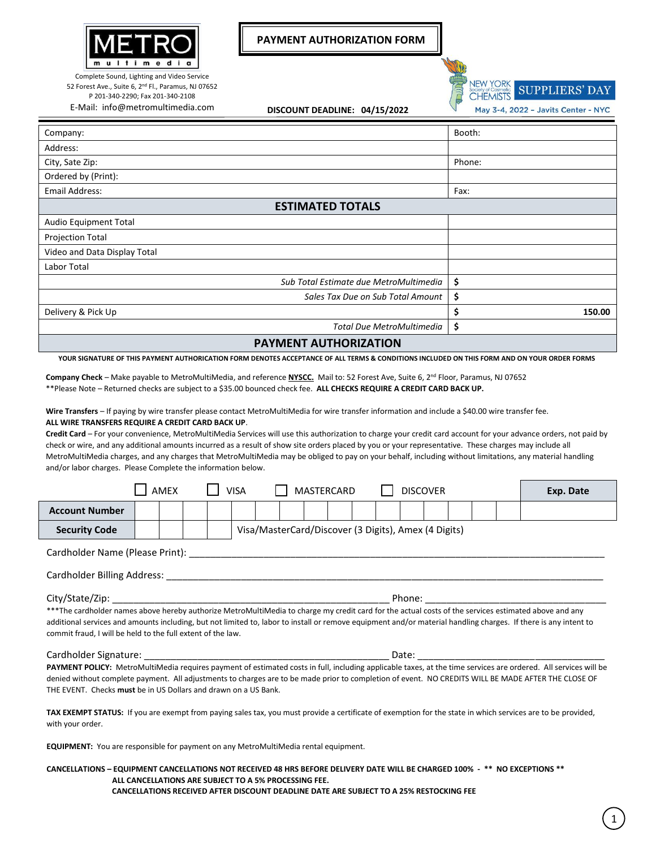

52 Forest Ave., Suite 6, 2<sup>nd</sup> Fl., Paramus, NJ 07652 P 201-340-2290; Fax 201-340-2108

**PAYMENT AUTHORIZATION FORM**

**NEW YORK SUPPLIERS' DAY CHEMISTS** 

E-Mail: info@metromultimedia.com **DISCOUNT DEADLINE: 04/15/2022**

May 3-4, 2022 - Javits Center - NYC

| Company:                               | Booth:       |  |  |  |  |  |  |  |  |  |
|----------------------------------------|--------------|--|--|--|--|--|--|--|--|--|
| Address:                               |              |  |  |  |  |  |  |  |  |  |
| City, Sate Zip:                        | Phone:       |  |  |  |  |  |  |  |  |  |
| Ordered by (Print):                    |              |  |  |  |  |  |  |  |  |  |
| <b>Email Address:</b>                  | Fax:         |  |  |  |  |  |  |  |  |  |
| <b>ESTIMATED TOTALS</b>                |              |  |  |  |  |  |  |  |  |  |
| Audio Equipment Total                  |              |  |  |  |  |  |  |  |  |  |
| <b>Projection Total</b>                |              |  |  |  |  |  |  |  |  |  |
| Video and Data Display Total           |              |  |  |  |  |  |  |  |  |  |
| Labor Total                            |              |  |  |  |  |  |  |  |  |  |
| Sub Total Estimate due MetroMultimedia | \$           |  |  |  |  |  |  |  |  |  |
| Sales Tax Due on Sub Total Amount      | \$           |  |  |  |  |  |  |  |  |  |
| Delivery & Pick Up                     | \$<br>150.00 |  |  |  |  |  |  |  |  |  |
| Total Due MetroMultimedia              | \$           |  |  |  |  |  |  |  |  |  |
|                                        |              |  |  |  |  |  |  |  |  |  |

**PAYMENT AUTHORIZATION**

**YOUR SIGNATURE OF THIS PAYMENT AUTHORICATION FORM DENOTES ACCEPTANCE OF ALL TERMS & CONDITIONS INCLUDED ON THIS FORM AND ON YOUR ORDER FORMS**

**Company Check** – Make payable to MetroMultiMedia, and reference **NYSCC.** Mail to: 52 Forest Ave, Suite 6, 2 nd Floor, Paramus, NJ 07652 \*\*Please Note – Returned checks are subject to a \$35.00 bounced check fee. **ALL CHECKS REQUIRE A CREDIT CARD BACK UP.**

**Wire Transfers** – If paying by wire transfer please contact MetroMultiMedia for wire transfer information and include a \$40.00 wire transfer fee. **ALL WIRE TRANSFERS REQUIRE A CREDIT CARD BACK UP**.

**Credit Card** – For your convenience, MetroMultiMedia Services will use this authorization to charge your credit card account for your advance orders, not paid by check or wire, and any additional amounts incurred as a result of show site orders placed by you or your representative. These charges may include all MetroMultiMedia charges, and any charges that MetroMultiMedia may be obliged to pay on your behalf, including without limitations, any material handling and/or labor charges. Please Complete the information below.

|                                                                                                                                                                                                                                                                                                                                                                                        |        | <b>AMEX</b>                                          |  |  | VISA |  |  |  | <b>MASTERCARD</b> |  |  | <b>DISCOVER</b> |  |  |  | Exp. Date |
|----------------------------------------------------------------------------------------------------------------------------------------------------------------------------------------------------------------------------------------------------------------------------------------------------------------------------------------------------------------------------------------|--------|------------------------------------------------------|--|--|------|--|--|--|-------------------|--|--|-----------------|--|--|--|-----------|
| <b>Account Number</b>                                                                                                                                                                                                                                                                                                                                                                  |        |                                                      |  |  |      |  |  |  |                   |  |  |                 |  |  |  |           |
| <b>Security Code</b>                                                                                                                                                                                                                                                                                                                                                                   |        | Visa/MasterCard/Discover (3 Digits), Amex (4 Digits) |  |  |      |  |  |  |                   |  |  |                 |  |  |  |           |
| Cardholder Name (Please Print):                                                                                                                                                                                                                                                                                                                                                        |        |                                                      |  |  |      |  |  |  |                   |  |  |                 |  |  |  |           |
| Cardholder Billing Address: The Cardholder Billing Address:                                                                                                                                                                                                                                                                                                                            |        |                                                      |  |  |      |  |  |  |                   |  |  |                 |  |  |  |           |
| City/State/Zip:                                                                                                                                                                                                                                                                                                                                                                        | Phone: |                                                      |  |  |      |  |  |  |                   |  |  |                 |  |  |  |           |
| ***The cardholder names above hereby authorize MetroMultiMedia to charge my credit card for the actual costs of the services estimated above and any<br>additional services and amounts including, but not limited to, labor to install or remove equipment and/or material handling charges. If there is any intent to<br>commit fraud, I will be held to the full extent of the law. |        |                                                      |  |  |      |  |  |  |                   |  |  |                 |  |  |  |           |
| Cardholder Signature:                                                                                                                                                                                                                                                                                                                                                                  |        |                                                      |  |  |      |  |  |  |                   |  |  | Date:           |  |  |  |           |
| <b>PAYMENT POLICY:</b> MetroMultiMedia requires payment of estimated costs in full, including applicable taxes, at the time services are ordered. All services will be                                                                                                                                                                                                                 |        |                                                      |  |  |      |  |  |  |                   |  |  |                 |  |  |  |           |

**PAYMENT POLICY:** MetroMultiMedia requires payment of estimated costs in full, including applicable taxes, at the time services are ordered. All services will be denied without complete payment. All adjustments to charges are to be made prior to completion of event. NO CREDITS WILL BE MADE AFTER THE CLOSE OF THE EVENT. Checks **must** be in US Dollars and drawn on a US Bank.

**TAX EXEMPT STATUS:** If you are exempt from paying sales tax, you must provide a certificate of exemption for the state in which services are to be provided, with your order.

**EQUIPMENT:** You are responsible for payment on any MetroMultiMedia rental equipment.

## **CANCELLATIONS – EQUIPMENT CANCELLATIONS NOT RECEIVED 48 HRS BEFORE DELIVERY DATE WILL BE CHARGED 100% - \*\* NO EXCEPTIONS \*\* ALL CANCELLATIONS ARE SUBJECT TO A 5% PROCESSING FEE. CANCELLATIONS RECEIVED AFTER DISCOUNT DEADLINE DATE ARE SUBJECT TO A 25% RESTOCKING FEE**